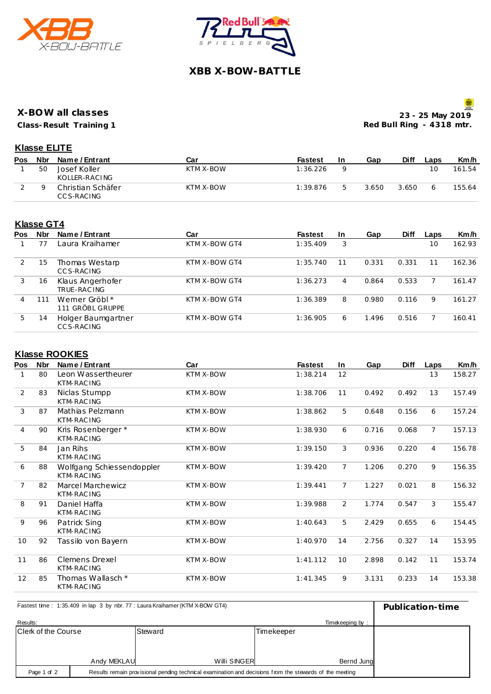



# **XBB X-BOW-BATTLE**

#### **X-BOW all classes**

**Class-Result Training 1**

**23 - 25 May 2019 Red Bull Ring - 4318 mtr.**

### **Klasse ELITE**

| <b>Pos</b> | Nbr | Name / Entrant                   | Car       | <b>Fastest</b> | In | Gap   | Diff  | Laps | Km/h   |
|------------|-----|----------------------------------|-----------|----------------|----|-------|-------|------|--------|
|            | 50  | Josef Koller<br>KOLLER-RACING    | KTM X-BOW | 1:36.226       |    |       |       | 10   | 161.54 |
|            |     | Christian Schäfer<br>CC S-RACING | KTM X-BOW | 1:39.876       |    | 3.650 | 3.650 |      | 155.64 |

## **Klasse GT4**

| <b>Pos</b> | <b>Nbr</b> | Name / Entrant                    | Car           | <b>Fastest</b> | <b>In</b> | Gap   | <b>Diff</b> | Laps | Km/h   |
|------------|------------|-----------------------------------|---------------|----------------|-----------|-------|-------------|------|--------|
|            |            | Laura Kraihamer                   | KTM X-BOW GT4 | 1:35.409       | 3         |       |             | 10   | 162.93 |
|            | 15         | Thomas Westarp<br>CCS-RACING      | KTM X-BOW GT4 | 1:35.740       | 11        | 0.331 | 0.331       | 11   | 162.36 |
| 3          | 16         | Klaus Angerhofer<br>TRUE-RAC ING  | KTM X-BOW GT4 | 1:36.273       | 4         | 0.864 | 0.533       |      | 161.47 |
| 4          | 111        | Wemer Gröbl *<br>111 GRÖBL GRUPPE | KTM X-BOW GT4 | 1:36.389       | 8         | 0.980 | 0.116       | 9    | 161.27 |
| 5          | 14         | Holger Baumgartner<br>CC S-RACING | KTM X-BOW GT4 | 1:36.905       | 6         | 1.496 | 0.516       |      | 160.41 |

### **Klasse ROOKIES**

| Pos | <b>Nbr</b> | Name / Entrant                           | Car              | <b>Fastest</b> | In.             | Gap   | <b>Diff</b> | Laps           | Km/h   |
|-----|------------|------------------------------------------|------------------|----------------|-----------------|-------|-------------|----------------|--------|
|     | 80         | Leon Wassertheurer<br>KTM-RAC ING        | KTM X-BOW        | 1:38.214       | 12              |       |             | 13             | 158.27 |
| 2   | 83         | Niclas Stumpp<br><b>KTM-RACING</b>       | KTM X-BOW        | 1:38.706       | 11              | 0.492 | 0.492       | 13             | 157.49 |
| 3   | 87         | Mathias Pelzmann<br>KTM-RAC ING          | KTM X-BOW        | 1:38.862       | 5               | 0.648 | 0.156       | 6              | 157.24 |
| 4   | 90         | Kris Rosenberger *<br>KTM-RAC ING        | KTM X-BOW        | 1:38.930       | 6               | 0.716 | 0.068       | $\overline{7}$ | 157.13 |
| 5   | 84         | Jan Rihs<br>KTM-RAC ING                  | KTM X-BOW        | 1:39.150       | 3               | 0.936 | 0.220       | $\overline{4}$ | 156.78 |
| 6   | 88         | Wolfgang Schiessendoppler<br>KTM-RAC ING | KTM X-BOW        | 1:39.420       | $\overline{7}$  | 1.206 | 0.270       | 9              | 156.35 |
| 7   | 82         | Marcel Marchewicz<br>KTM-RAC ING         | KTM X-BOW        | 1:39.441       | $\overline{7}$  | 1.227 | 0.021       | 8              | 156.32 |
| 8   | 91         | Daniel Haffa<br>KTM-RAC ING              | KTM X-BOW        | 1:39.988       | $\overline{2}$  | 1.774 | 0.547       | 3              | 155.47 |
| 9   | 96         | Patrick Sing<br><b>KTM-RACING</b>        | KTM X-BOW        | 1:40.643       | 5               | 2.429 | 0.655       | 6              | 154.45 |
| 10  | 92         | Tassilo von Bayern                       | KTM X-BOW        | 1:40.970       | 14              | 2.756 | 0.327       | 14             | 153.95 |
| 11  | 86         | Clemens Drexel<br>KTM-RAC ING            | <b>KTM X-BOW</b> | 1:41.112       | 10 <sup>1</sup> | 2.898 | 0.142       | 11             | 153.74 |
| 12  | 85         | Thomas Wallasch *<br><b>KTM-RACING</b>   | <b>KTM X-BOW</b> | 1:41.345       | 9               | 3.131 | 0.233       | 14             | 153.38 |

| Fastest time: 1:35.409 in lap 3 by nbr. 77 : Laura Kraihamer (KTM X-BOW GT4) | Publication-time |              |            |  |
|------------------------------------------------------------------------------|------------------|--------------|------------|--|
| Results:                                                                     |                  |              |            |  |
| Clerk of the Course                                                          |                  | Steward      | Timekeeper |  |
|                                                                              |                  |              |            |  |
|                                                                              |                  |              |            |  |
|                                                                              | Andy MEKLAU      | Willi SINGER | Bernd Jung |  |
| Page 1 of 2                                                                  |                  |              |            |  |